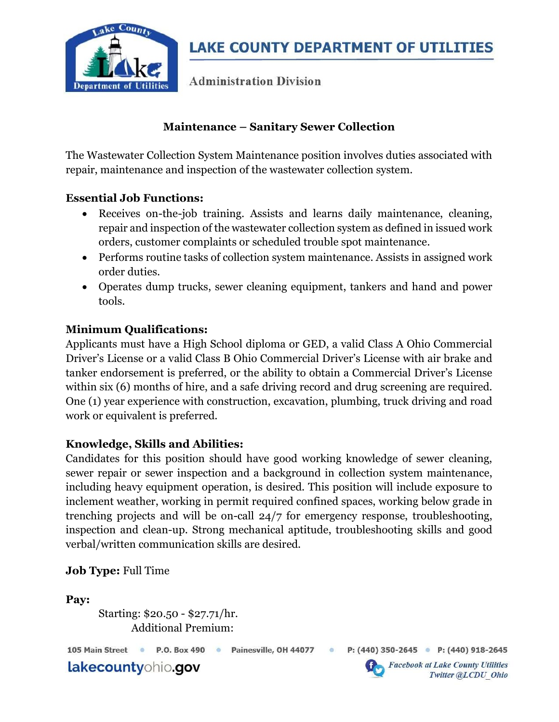

**Administration Division** 

# Maintenance – Sanitary Sewer Collection

The Wastewater Collection System Maintenance position involves duties associated with repair, maintenance and inspection of the wastewater collection system.

### Essential Job Functions:

- Receives on-the-job training. Assists and learns daily maintenance, cleaning, repair and inspection of the wastewater collection system as defined in issued work orders, customer complaints or scheduled trouble spot maintenance.
- Performs routine tasks of collection system maintenance. Assists in assigned work order duties.
- Operates dump trucks, sewer cleaning equipment, tankers and hand and power tools.

### Minimum Qualifications:

Applicants must have a High School diploma or GED, a valid Class A Ohio Commercial Driver's License or a valid Class B Ohio Commercial Driver's License with air brake and tanker endorsement is preferred, or the ability to obtain a Commercial Driver's License within six (6) months of hire, and a safe driving record and drug screening are required. One (1) year experience with construction, excavation, plumbing, truck driving and road work or equivalent is preferred.

### Knowledge, Skills and Abilities:

Candidates for this position should have good working knowledge of sewer cleaning, sewer repair or sewer inspection and a background in collection system maintenance, including heavy equipment operation, is desired. This position will include exposure to inclement weather, working in permit required confined spaces, working below grade in trenching projects and will be on-call 24/7 for emergency response, troubleshooting, inspection and clean-up. Strong mechanical aptitude, troubleshooting skills and good verbal/written communication skills are desired.

### Job Type: Full Time